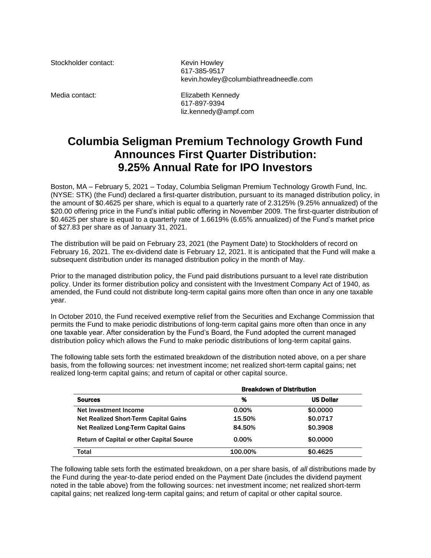Stockholder contact: Kevin Howley

617-385-9517 kevin.howley@columbiathreadneedle.com

Media contact: Elizabeth Kennedy 617-897-9394 liz.kennedy@ampf.com

## **Columbia Seligman Premium Technology Growth Fund Announces First Quarter Distribution: 9.25% Annual Rate for IPO Investors**

Boston, MA – February 5, 2021 – Today, Columbia Seligman Premium Technology Growth Fund, Inc. (NYSE: STK) (the Fund) declared a first-quarter distribution, pursuant to its managed distribution policy, in the amount of \$0.4625 per share, which is equal to a quarterly rate of 2.3125% (9.25% annualized) of the \$20.00 offering price in the Fund's initial public offering in November 2009. The first-quarter distribution of \$0.4625 per share is equal to a quarterly rate of 1.6619% (6.65% annualized) of the Fund's market price of \$27.83 per share as of January 31, 2021.

The distribution will be paid on February 23, 2021 (the Payment Date) to Stockholders of record on February 16, 2021. The ex-dividend date is February 12, 2021. It is anticipated that the Fund will make a subsequent distribution under its managed distribution policy in the month of May.

Prior to the managed distribution policy, the Fund paid distributions pursuant to a level rate distribution policy. Under its former distribution policy and consistent with the Investment Company Act of 1940, as amended, the Fund could not distribute long-term capital gains more often than once in any one taxable year.

In October 2010, the Fund received exemptive relief from the Securities and Exchange Commission that permits the Fund to make periodic distributions of long-term capital gains more often than once in any one taxable year. After consideration by the Fund's Board, the Fund adopted the current managed distribution policy which allows the Fund to make periodic distributions of long-term capital gains.

The following table sets forth the estimated breakdown of the distribution noted above, on a per share basis, from the following sources: net investment income; net realized short-term capital gains; net realized long-term capital gains; and return of capital or other capital source.

|                                                  | <b>Breakdown of Distribution</b> |                  |
|--------------------------------------------------|----------------------------------|------------------|
| <b>Sources</b>                                   | %                                | <b>US Dollar</b> |
| Net Investment Income                            | $0.00\%$                         | \$0,0000         |
| <b>Net Realized Short-Term Capital Gains</b>     | 15.50%                           | \$0.0717         |
| Net Realized Long-Term Capital Gains             | 84.50%                           | \$0.3908         |
| <b>Return of Capital or other Capital Source</b> | $0.00\%$                         | \$0,0000         |
| Total                                            | 100.00%                          | \$0.4625         |

The following table sets forth the estimated breakdown, on a per share basis, of *all* distributions made by the Fund during the year-to-date period ended on the Payment Date (includes the dividend payment noted in the table above) from the following sources: net investment income; net realized short-term capital gains; net realized long-term capital gains; and return of capital or other capital source.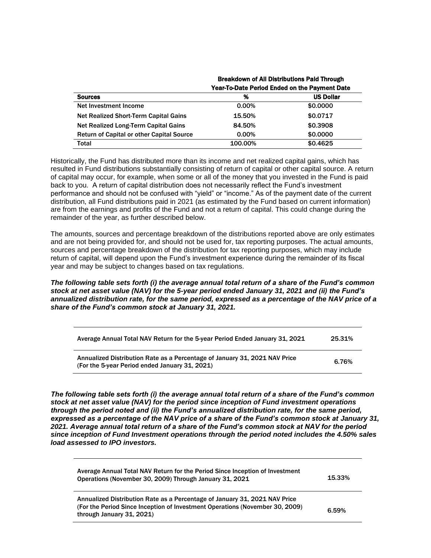|                                                  | Year-To-Date Period Ended on the Payment Date |                  |  |
|--------------------------------------------------|-----------------------------------------------|------------------|--|
| <b>Sources</b>                                   | %                                             | <b>US Dollar</b> |  |
| Net Investment Income                            | 0.00%                                         | \$0.0000         |  |
| Net Realized Short-Term Capital Gains            | 15.50%                                        | \$0.0717         |  |
| Net Realized Long-Term Capital Gains             | 84.50%                                        | \$0.3908         |  |
| <b>Return of Capital or other Capital Source</b> | 0.00%                                         | \$0,0000         |  |
| Total                                            | 100.00%                                       | \$0.4625         |  |

Breakdown of All Distributions Paid Through

Historically, the Fund has distributed more than its income and net realized capital gains, which has resulted in Fund distributions substantially consisting of return of capital or other capital source. A return of capital may occur, for example, when some or all of the money that you invested in the Fund is paid back to you. A return of capital distribution does not necessarily reflect the Fund's investment performance and should not be confused with "yield" or "income." As of the payment date of the current distribution, all Fund distributions paid in 2021 (as estimated by the Fund based on current information) are from the earnings and profits of the Fund and not a return of capital. This could change during the remainder of the year, as further described below.

The amounts, sources and percentage breakdown of the distributions reported above are only estimates and are not being provided for, and should not be used for, tax reporting purposes. The actual amounts, sources and percentage breakdown of the distribution for tax reporting purposes, which may include return of capital, will depend upon the Fund's investment experience during the remainder of its fiscal year and may be subject to changes based on tax regulations.

*The following table sets forth (i) the average annual total return of a share of the Fund's common stock at net asset value (NAV) for the 5-year period ended January 31, 2021 and (ii) the Fund's annualized distribution rate, for the same period, expressed as a percentage of the NAV price of a share of the Fund's common stock at January 31, 2021.* 

| Average Annual Total NAV Return for the 5-year Period Ended January 31, 2021                                                 | 25.31% |
|------------------------------------------------------------------------------------------------------------------------------|--------|
| Annualized Distribution Rate as a Percentage of January 31, 2021 NAV Price<br>(For the 5-year Period ended January 31, 2021) | 6.76%  |

*The following table sets forth (i) the average annual total return of a share of the Fund's common stock at net asset value (NAV) for the period since inception of Fund investment operations through the period noted and (ii) the Fund's annualized distribution rate, for the same period, expressed as a percentage of the NAV price of a share of the Fund's common stock at January 31, 2021. Average annual total return of a share of the Fund's common stock at NAV for the period since inception of Fund Investment operations through the period noted includes the 4.50% sales load assessed to IPO investors.*

| Average Annual Total NAV Return for the Period Since Inception of Investment<br>Operations (November 30, 2009) Through January 31, 2021                                                 | 15.33% |
|-----------------------------------------------------------------------------------------------------------------------------------------------------------------------------------------|--------|
| Annualized Distribution Rate as a Percentage of January 31, 2021 NAV Price<br>(For the Period Since Inception of Investment Operations (November 30, 2009)<br>through January 31, 2021) | 6.59%  |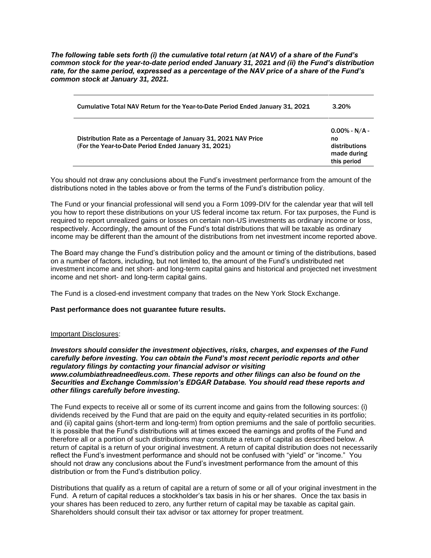*The following table sets forth (i) the cumulative total return (at NAV) of a share of the Fund's common stock for the year-to-date period ended January 31, 2021 and (ii) the Fund's distribution rate, for the same period, expressed as a percentage of the NAV price of a share of the Fund's common stock at January 31, 2021.*

| Cumulative Total NAV Return for the Year-to-Date Period Ended January 31, 2021                                          | 3.20%                                                                 |
|-------------------------------------------------------------------------------------------------------------------------|-----------------------------------------------------------------------|
| Distribution Rate as a Percentage of January 31, 2021 NAV Price<br>(For the Year-to-Date Period Ended January 31, 2021) | $0.00\%$ - N/A -<br>no<br>distributions<br>made during<br>this period |

You should not draw any conclusions about the Fund's investment performance from the amount of the distributions noted in the tables above or from the terms of the Fund's distribution policy.

The Fund or your financial professional will send you a Form 1099-DIV for the calendar year that will tell you how to report these distributions on your US federal income tax return. For tax purposes, the Fund is required to report unrealized gains or losses on certain non-US investments as ordinary income or loss, respectively. Accordingly, the amount of the Fund's total distributions that will be taxable as ordinary income may be different than the amount of the distributions from net investment income reported above.

The Board may change the Fund's distribution policy and the amount or timing of the distributions, based on a number of factors, including, but not limited to, the amount of the Fund's undistributed net investment income and net short- and long-term capital gains and historical and projected net investment income and net short- and long-term capital gains.

The Fund is a closed-end investment company that trades on the New York Stock Exchange.

## **Past performance does not guarantee future results.**

## Important Disclosures:

*Investors should consider the investment objectives, risks, charges, and expenses of the Fund carefully before investing. You can obtain the Fund's most recent periodic reports and other regulatory filings by contacting your financial advisor or visiting www.columbiathreadneedleus.com. These reports and other filings can also be found on the Securities and Exchange Commission's EDGAR Database. You should read these reports and other filings carefully before investing.*

The Fund expects to receive all or some of its current income and gains from the following sources: (i) dividends received by the Fund that are paid on the equity and equity-related securities in its portfolio; and (ii) capital gains (short-term and long-term) from option premiums and the sale of portfolio securities. It is possible that the Fund's distributions will at times exceed the earnings and profits of the Fund and therefore all or a portion of such distributions may constitute a return of capital as described below. A return of capital is a return of your original investment. A return of capital distribution does not necessarily reflect the Fund's investment performance and should not be confused with "yield" or "income." You should not draw any conclusions about the Fund's investment performance from the amount of this distribution or from the Fund's distribution policy.

Distributions that qualify as a return of capital are a return of some or all of your original investment in the Fund. A return of capital reduces a stockholder's tax basis in his or her shares. Once the tax basis in your shares has been reduced to zero, any further return of capital may be taxable as capital gain. Shareholders should consult their tax advisor or tax attorney for proper treatment.